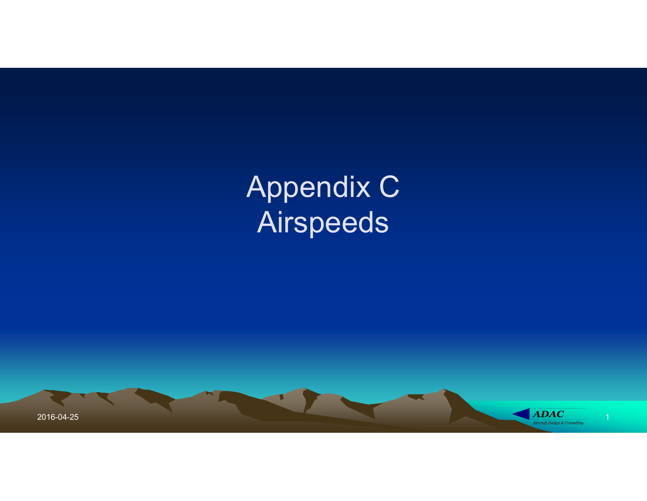# Appendix C Airspeeds

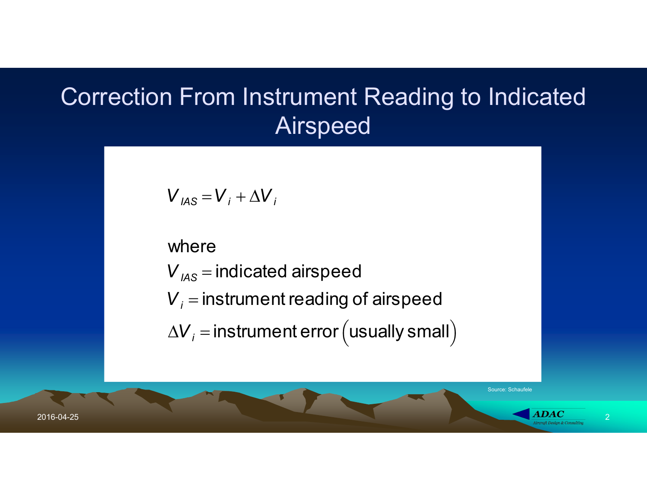### Correction From Instrument Reading to Indicated Airspeed

$$
V_{IAS} = V_i + \Delta V_i
$$

where

 $\blacksquare$  $V_{A\text{S}}$  = indicated airspeed

 $V_i$  = instrument reading of airspeed

 $\Delta V_i$  = instrument error (usually small)

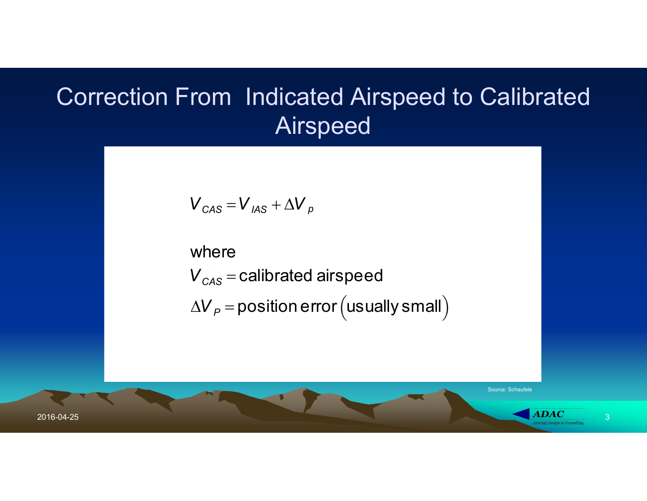#### Correction From Indicated Airspeed to Calibrated Airspeed

$$
V_{CAS} = V_{IAS} + \Delta V_p
$$

 $V_{\text{CAS}} = V_{\text{IAS}} + \Delta V_{p}$ <br>
where<br>  $V_{\text{CAS}} = \text{calibrated airspeed}$ <br>  $\Delta V_{p} = \text{position error (usually small)}$ where  $V_{CAS} =$  calibrated airspeed  $\Delta V_P$  = position error (usually small)



Source: Schaufele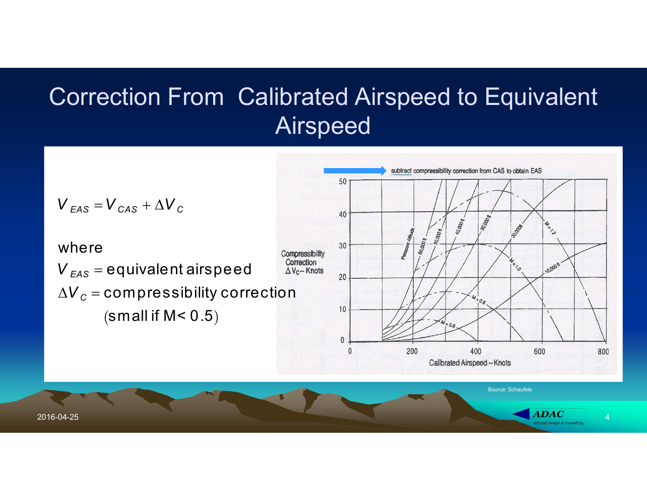# Correction From Calibrated Airspeed to Equivalent Airspeed

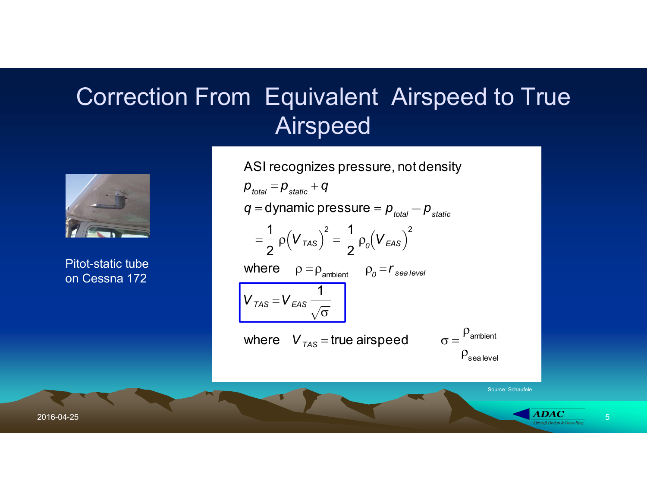### Correction From Equivalent Airspeed to True Airspeed



Pitot-static tube on Cessna 172

<sup>V</sup>ii ns tru me nt er ro u su al ys ma l

q = dynamic pressure =  $p_{total} - p_{static}$ <br>
Pitot-static tube<br>
on Cessna 172<br>  $\frac{1}{2}p(V_{TAS})^2 = \frac{1}{2}p_o(V_{EAS})^2$ <br>
Where  $p = p_{\text{arithmetic}}$ <br>  $V_{TAS} = V_{EAS} \frac{1}{\sqrt{\sigma}}$ <br>
where  $V_{TAS}$  = true airspeed  $\sigma = \frac{p_{\text{arithmetic}}}{p_{\text{sal}}}\$ Source: Schaufele ASI recognizes pressure, not density  $p_{total} = p_{static} + q$  $q =$ dynamic pressure =  $p_{total} - p_{static}$  $=$ 1 2  $\rho(\pmb V_{\mathcal{T}\mathcal{A}\mathcal{S}})$ 2  $=$ 1 2  $\rho_{\scriptscriptstyle \partial}^{}(V_{\scriptscriptstyle EAS}^{}$ 2 where  $\rho = \rho_{\text{ambient}} \rho_0 = r_{\text{sealevel}}$  $V_{TAS} = V_{EAS}$ 1  $\overline{\sigma}$ where  $V_{TAS}$  = true airspeed  $\sigma =$  $P_{\text{ambient}}$  $\rho_{\rm sea}$  level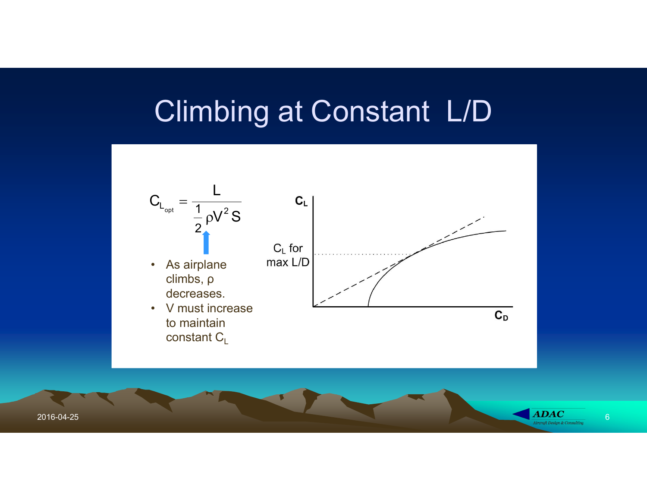# Climbing at Constant L/D



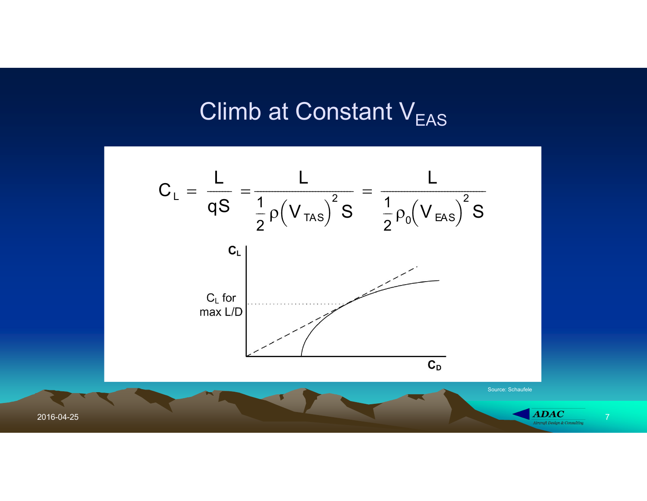#### Climb at Constant V<sub>EAS</sub>

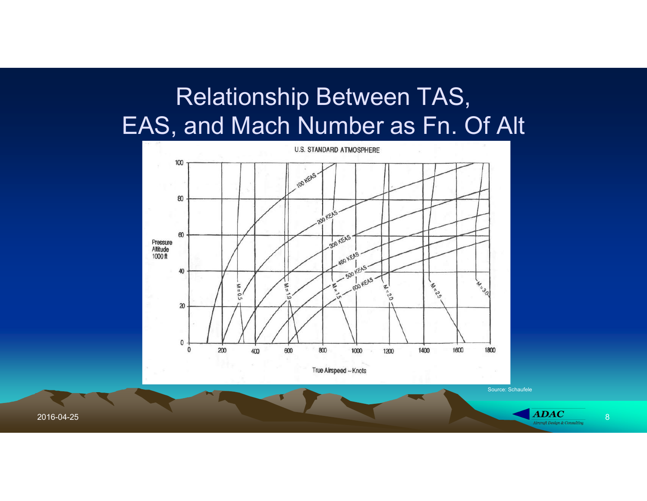# Relationship Between TAS, EAS, and Mach Number as Fn. Of Alt



Source: Schaufele